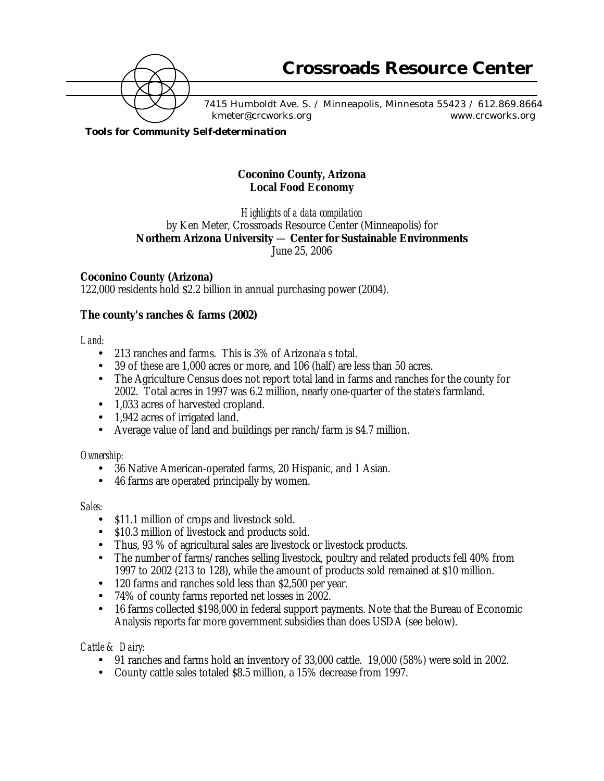

7415 Humboldt Ave. S. / Minneapolis, Minnesota 55423 / 612.869.8664 kmeter@crcworks.org www.crcworks.org

*Tools for Community Self-determination*

# **Coconino County, Arizona Local Food Economy**

*Highlights of a data compilation* by Ken Meter, Crossroads Resource Center (Minneapolis) for **Northern Arizona University** — **Center for Sustainable Environments** June 25, 2006

# **Coconino County (Arizona)**

122,000 residents hold \$2.2 billion in annual purchasing power (2004).

# **The county's ranches & farms (2002)**

### *Land:*

- 213 ranches and farms. This is 3% of Arizona'a s total.
- 39 of these are 1,000 acres or more, and 106 (half) are less than 50 acres.
- The Agriculture Census does not report total land in farms and ranches for the county for 2002. Total acres in 1997 was 6.2 million, nearly one-quarter of the state's farmland.
- 1,033 acres of harvested cropland.
- 1,942 acres of irrigated land.
- Average value of land and buildings per ranch/farm is \$4.7 million.

### *Ownership:*

- 36 Native American-operated farms, 20 Hispanic, and 1 Asian.
- 46 farms are operated principally by women.

### *Sales:*

- \$11.1 million of crops and livestock sold.
- \$10.3 million of livestock and products sold.
- Thus, 93 % of agricultural sales are livestock or livestock products.<br>• The number of farms/ranches selling livestock poultry and related
- The number of farms/ranches selling livestock, poultry and related products fell 40% from 1997 to 2002 (213 to 128), while the amount of products sold remained at \$10 million.
- 120 farms and ranches sold less than \$2,500 per year.
- 74% of county farms reported net losses in 2002.
- 16 farms collected \$198,000 in federal support payments. Note that the Bureau of Economic Analysis reports far more government subsidies than does USDA (see below).

### *Cattle & Dairy:*

- 91 ranches and farms hold an inventory of 33,000 cattle. 19,000 (58%) were sold in 2002.
- County cattle sales totaled \$8.5 million, a 15% decrease from 1997.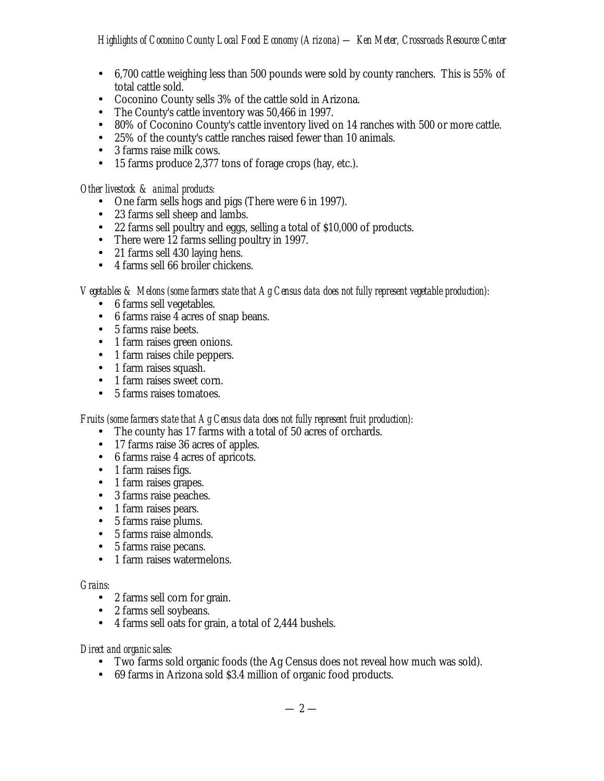- 6,700 cattle weighing less than 500 pounds were sold by county ranchers. This is 55% of total cattle sold.
- Coconino County sells 3% of the cattle sold in Arizona.
- The County's cattle inventory was 50,466 in 1997.
- 80% of Coconino County's cattle inventory lived on 14 ranches with 500 or more cattle.
- 25% of the county's cattle ranches raised fewer than 10 animals.
- 3 farms raise milk cows.
- 15 farms produce 2,377 tons of forage crops (hay, etc.).

#### *Other livestock & animal products:*

- One farm sells hogs and pigs (There were 6 in 1997).
- 23 farms sell sheep and lambs.
- 22 farms sell poultry and eggs, selling a total of \$10,000 of products.
- There were 12 farms selling poultry in 1997.
- 21 farms sell 430 laying hens.
- 4 farms sell 66 broiler chickens.

*Vegetables & Melons (some farmers state that Ag Census data does not fully represent vegetable production):*

- 6 farms sell vegetables.
- 6 farms raise 4 acres of snap beans.
- 5 farms raise beets.
- 1 farm raises green onions.
- 1 farm raises chile peppers.
- 1 farm raises squash.
- 1 farm raises sweet corn.
- 5 farms raises tomatoes.

### *Fruits (some farmers state that Ag Census data does not fully represent fruit production):*

- The county has 17 farms with a total of 50 acres of orchards.
- 17 farms raise 36 acres of apples.
- 6 farms raise 4 acres of apricots.
- 1 farm raises figs.
- 1 farm raises grapes.
- 3 farms raise peaches.
- 1 farm raises pears.
- 5 farms raise plums.
- 5 farms raise almonds.
- 5 farms raise pecans.
- 1 farm raises watermelons.

#### *Grains:*

- 2 farms sell corn for grain.
- 2 farms sell soybeans.
- 4 farms sell oats for grain, a total of 2,444 bushels.

#### *Direct and organic sales:*

- Two farms sold organic foods (the Ag Census does not reveal how much was sold).
- 69 farms in Arizona sold \$3.4 million of organic food products.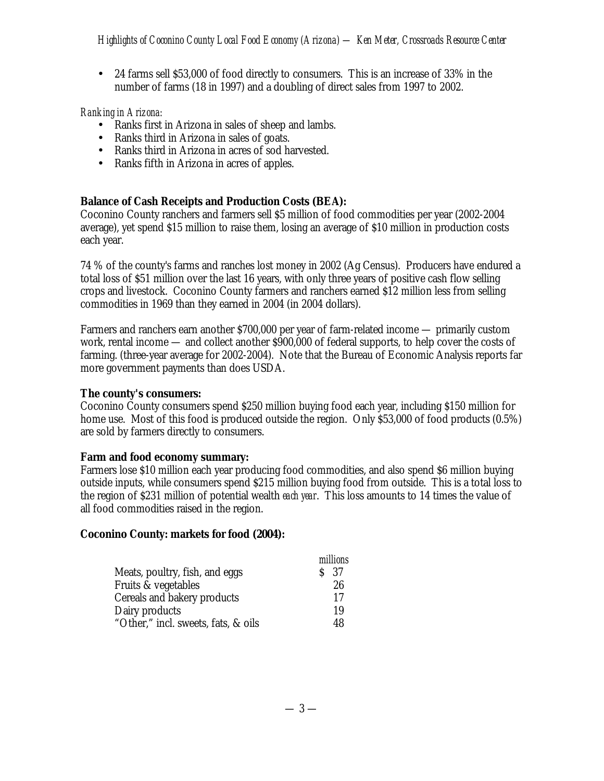• 24 farms sell \$53,000 of food directly to consumers. This is an increase of 33% in the number of farms (18 in 1997) and a doubling of direct sales from 1997 to 2002.

# *Ranking in Arizona:*

- Ranks first in Arizona in sales of sheep and lambs.
- Ranks third in Arizona in sales of goats.
- Ranks third in Arizona in acres of sod harvested.
- Ranks fifth in Arizona in acres of apples.

# **Balance of Cash Receipts and Production Costs (BEA):**

Coconino County ranchers and farmers sell \$5 million of food commodities per year (2002-2004 average), yet spend \$15 million to raise them, losing an average of \$10 million in production costs each year.

74 % of the county's farms and ranches lost money in 2002 (Ag Census). Producers have endured a total loss of \$51 million over the last 16 years, with only three years of positive cash flow selling crops and livestock. Coconino County farmers and ranchers earned \$12 million less from selling commodities in 1969 than they earned in 2004 (in 2004 dollars).

Farmers and ranchers earn another \$700,000 per year of farm-related income — primarily custom work, rental income — and collect another \$900,000 of federal supports, to help cover the costs of farming. (three-year average for 2002-2004). Note that the Bureau of Economic Analysis reports far more government payments than does USDA.

### **The county's consumers:**

Coconino County consumers spend \$250 million buying food each year, including \$150 million for home use. Most of this food is produced outside the region. Only \$53,000 of food products (0.5%) are sold by farmers directly to consumers.

### **Farm and food economy summary:**

Farmers lose \$10 million each year producing food commodities, and also spend \$6 million buying outside inputs, while consumers spend \$215 million buying food from outside. This is a total loss to the region of \$231 million of potential wealth *each year*. This loss amounts to 14 times the value of all food commodities raised in the region.

### **Coconino County: markets for food (2004):**

|                                     | millions        |
|-------------------------------------|-----------------|
| Meats, poultry, fish, and eggs      | S <sub>37</sub> |
| Fruits & vegetables                 | 26              |
| Cereals and bakery products         | 17              |
| Dairy products                      | 19              |
| "Other," incl. sweets, fats, & oils | 48              |